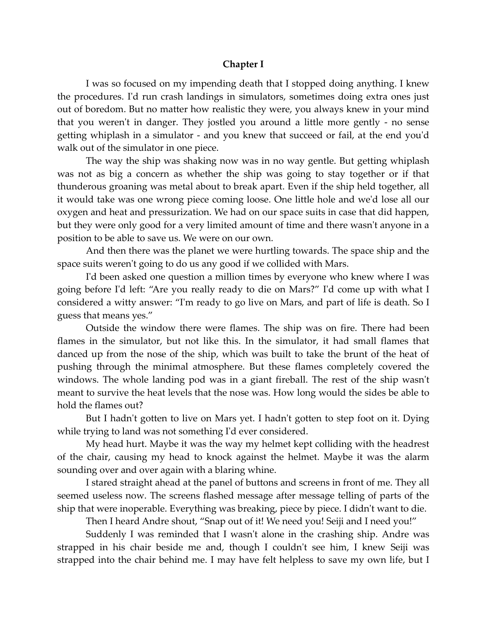#### **Chapter I**

I was so focused on my impending death that I stopped doing anything. I knew the procedures. I'd run crash landings in simulators, sometimes doing extra ones just out of boredom. But no matter how realistic they were, you always knew in your mind that you weren't in danger. They jostled you around a little more gently - no sense getting whiplash in a simulator - and you knew that succeed or fail, at the end you'd walk out of the simulator in one piece.

The way the ship was shaking now was in no way gentle. But getting whiplash was not as big a concern as whether the ship was going to stay together or if that thunderous groaning was metal about to break apart. Even if the ship held together, all it would take was one wrong piece coming loose. One little hole and we'd lose all our oxygen and heat and pressurization. We had on our space suits in case that did happen, but they were only good for a very limited amount of time and there wasn't anyone in a position to be able to save us. We were on our own.

And then there was the planet we were hurtling towards. The space ship and the space suits weren't going to do us any good if we collided with Mars.

I'd been asked one question a million times by everyone who knew where I was going before I'd left: "Are you really ready to die on Mars?" I'd come up with what I considered a witty answer: "I'm ready to go live on Mars, and part of life is death. So I guess that means yes."

Outside the window there were flames. The ship was on fire. There had been flames in the simulator, but not like this. In the simulator, it had small flames that danced up from the nose of the ship, which was built to take the brunt of the heat of pushing through the minimal atmosphere. But these flames completely covered the windows. The whole landing pod was in a giant fireball. The rest of the ship wasn't meant to survive the heat levels that the nose was. How long would the sides be able to hold the flames out?

But I hadn't gotten to live on Mars yet. I hadn't gotten to step foot on it. Dying while trying to land was not something I'd ever considered.

My head hurt. Maybe it was the way my helmet kept colliding with the headrest of the chair, causing my head to knock against the helmet. Maybe it was the alarm sounding over and over again with a blaring whine.

I stared straight ahead at the panel of buttons and screens in front of me. They all seemed useless now. The screens flashed message after message telling of parts of the ship that were inoperable. Everything was breaking, piece by piece. I didn't want to die.

Then I heard Andre shout, "Snap out of it! We need you! Seiji and I need you!"

Suddenly I was reminded that I wasn't alone in the crashing ship. Andre was strapped in his chair beside me and, though I couldn't see him, I knew Seiji was strapped into the chair behind me. I may have felt helpless to save my own life, but I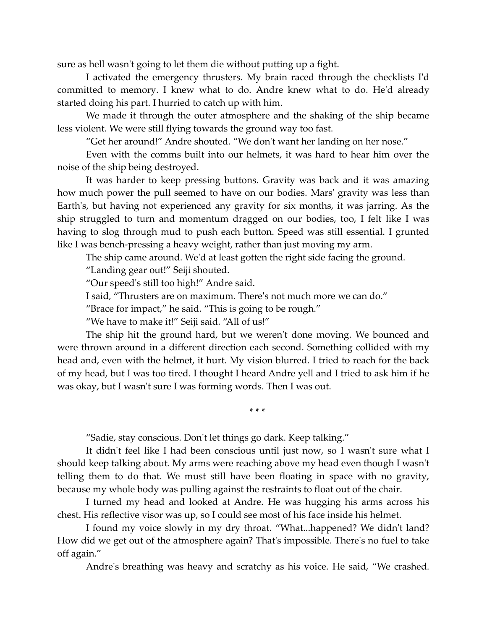sure as hell wasn't going to let them die without putting up a fight.

I activated the emergency thrusters. My brain raced through the checklists I'd committed to memory. I knew what to do. Andre knew what to do. He'd already started doing his part. I hurried to catch up with him.

We made it through the outer atmosphere and the shaking of the ship became less violent. We were still flying towards the ground way too fast.

"Get her around!" Andre shouted. "We don't want her landing on her nose."

Even with the comms built into our helmets, it was hard to hear him over the noise of the ship being destroyed.

It was harder to keep pressing buttons. Gravity was back and it was amazing how much power the pull seemed to have on our bodies. Mars' gravity was less than Earth's, but having not experienced any gravity for six months, it was jarring. As the ship struggled to turn and momentum dragged on our bodies, too, I felt like I was having to slog through mud to push each button. Speed was still essential. I grunted like I was bench-pressing a heavy weight, rather than just moving my arm.

The ship came around. We'd at least gotten the right side facing the ground.

"Landing gear out!" Seiji shouted.

"Our speed's still too high!" Andre said.

I said, "Thrusters are on maximum. There's not much more we can do."

"Brace for impact," he said. "This is going to be rough."

"We have to make it!" Seiji said. "All of us!"

The ship hit the ground hard, but we weren't done moving. We bounced and were thrown around in a different direction each second. Something collided with my head and, even with the helmet, it hurt. My vision blurred. I tried to reach for the back of my head, but I was too tired. I thought I heard Andre yell and I tried to ask him if he was okay, but I wasn't sure I was forming words. Then I was out.

\* \* \*

"Sadie, stay conscious. Don't let things go dark. Keep talking."

It didn't feel like I had been conscious until just now, so I wasn't sure what I should keep talking about. My arms were reaching above my head even though I wasn't telling them to do that. We must still have been floating in space with no gravity, because my whole body was pulling against the restraints to float out of the chair.

I turned my head and looked at Andre. He was hugging his arms across his chest. His reflective visor was up, so I could see most of his face inside his helmet.

I found my voice slowly in my dry throat. "What...happened? We didn't land? How did we get out of the atmosphere again? That's impossible. There's no fuel to take off again."

Andre's breathing was heavy and scratchy as his voice. He said, "We crashed.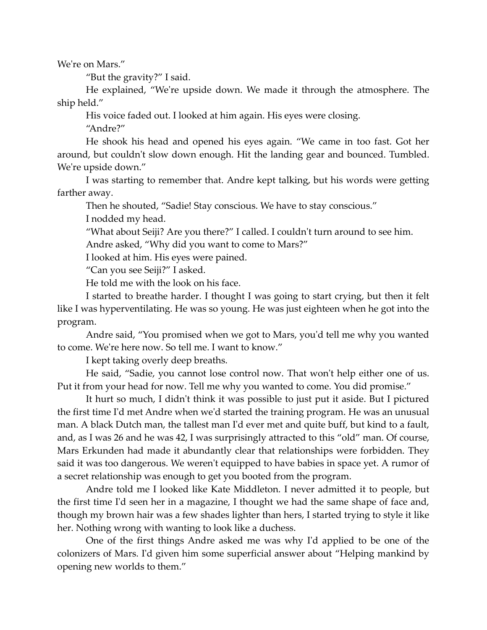We're on Mars."

"But the gravity?" I said.

He explained, "We're upside down. We made it through the atmosphere. The ship held."

His voice faded out. I looked at him again. His eyes were closing.

"Andre?"

He shook his head and opened his eyes again. "We came in too fast. Got her around, but couldn't slow down enough. Hit the landing gear and bounced. Tumbled. We're upside down."

I was starting to remember that. Andre kept talking, but his words were getting farther away.

Then he shouted, "Sadie! Stay conscious. We have to stay conscious."

I nodded my head.

"What about Seiji? Are you there?" I called. I couldn't turn around to see him. Andre asked, "Why did you want to come to Mars?"

I looked at him. His eyes were pained.

"Can you see Seiji?" I asked.

He told me with the look on his face.

I started to breathe harder. I thought I was going to start crying, but then it felt like I was hyperventilating. He was so young. He was just eighteen when he got into the program.

Andre said, "You promised when we got to Mars, you'd tell me why you wanted to come. We're here now. So tell me. I want to know."

I kept taking overly deep breaths.

He said, "Sadie, you cannot lose control now. That won't help either one of us. Put it from your head for now. Tell me why you wanted to come. You did promise."

It hurt so much, I didn't think it was possible to just put it aside. But I pictured the first time I'd met Andre when we'd started the training program. He was an unusual man. A black Dutch man, the tallest man I'd ever met and quite buff, but kind to a fault, and, as I was 26 and he was 42, I was surprisingly attracted to this "old" man. Of course, Mars Erkunden had made it abundantly clear that relationships were forbidden. They said it was too dangerous. We weren't equipped to have babies in space yet. A rumor of a secret relationship was enough to get you booted from the program.

Andre told me I looked like Kate Middleton. I never admitted it to people, but the first time I'd seen her in a magazine, I thought we had the same shape of face and, though my brown hair was a few shades lighter than hers, I started trying to style it like her. Nothing wrong with wanting to look like a duchess.

One of the first things Andre asked me was why I'd applied to be one of the colonizers of Mars. I'd given him some superficial answer about "Helping mankind by opening new worlds to them."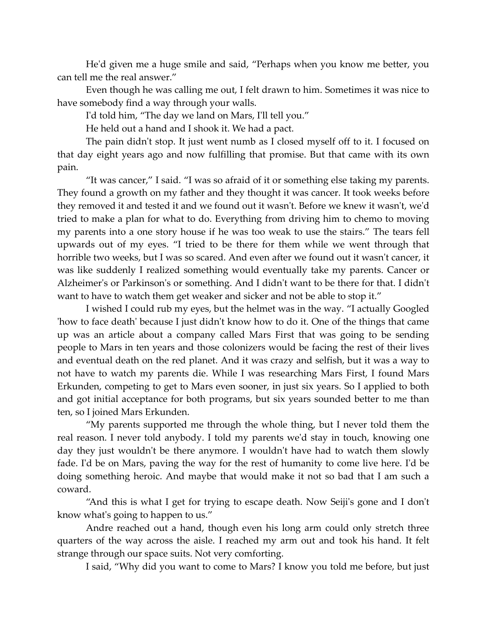He'd given me a huge smile and said, "Perhaps when you know me better, you can tell me the real answer."

Even though he was calling me out, I felt drawn to him. Sometimes it was nice to have somebody find a way through your walls.

I'd told him, "The day we land on Mars, I'll tell you."

He held out a hand and I shook it. We had a pact.

The pain didn't stop. It just went numb as I closed myself off to it. I focused on that day eight years ago and now fulfilling that promise. But that came with its own pain.

"It was cancer," I said. "I was so afraid of it or something else taking my parents. They found a growth on my father and they thought it was cancer. It took weeks before they removed it and tested it and we found out it wasn't. Before we knew it wasn't, we'd tried to make a plan for what to do. Everything from driving him to chemo to moving my parents into a one story house if he was too weak to use the stairs." The tears fell upwards out of my eyes. "I tried to be there for them while we went through that horrible two weeks, but I was so scared. And even after we found out it wasn't cancer, it was like suddenly I realized something would eventually take my parents. Cancer or Alzheimer's or Parkinson's or something. And I didn't want to be there for that. I didn't want to have to watch them get weaker and sicker and not be able to stop it."

I wished I could rub my eyes, but the helmet was in the way. "I actually Googled 'how to face death' because I just didn't know how to do it. One of the things that came up was an article about a company called Mars First that was going to be sending people to Mars in ten years and those colonizers would be facing the rest of their lives and eventual death on the red planet. And it was crazy and selfish, but it was a way to not have to watch my parents die. While I was researching Mars First, I found Mars Erkunden, competing to get to Mars even sooner, in just six years. So I applied to both and got initial acceptance for both programs, but six years sounded better to me than ten, so I joined Mars Erkunden.

"My parents supported me through the whole thing, but I never told them the real reason. I never told anybody. I told my parents we'd stay in touch, knowing one day they just wouldn't be there anymore. I wouldn't have had to watch them slowly fade. I'd be on Mars, paving the way for the rest of humanity to come live here. I'd be doing something heroic. And maybe that would make it not so bad that I am such a coward.

"And this is what I get for trying to escape death. Now Seiji's gone and I don't know what's going to happen to us."

Andre reached out a hand, though even his long arm could only stretch three quarters of the way across the aisle. I reached my arm out and took his hand. It felt strange through our space suits. Not very comforting.

I said, "Why did you want to come to Mars? I know you told me before, but just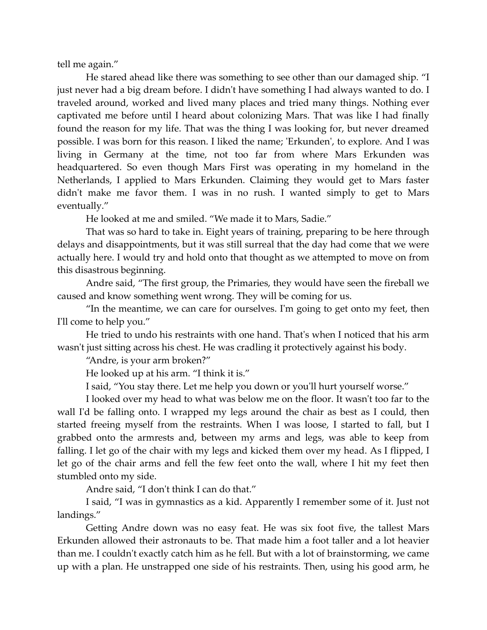tell me again."

He stared ahead like there was something to see other than our damaged ship. "I just never had a big dream before. I didn't have something I had always wanted to do. I traveled around, worked and lived many places and tried many things. Nothing ever captivated me before until I heard about colonizing Mars. That was like I had finally found the reason for my life. That was the thing I was looking for, but never dreamed possible. I was born for this reason. I liked the name; 'Erkunden', to explore. And I was living in Germany at the time, not too far from where Mars Erkunden was headquartered. So even though Mars First was operating in my homeland in the Netherlands, I applied to Mars Erkunden. Claiming they would get to Mars faster didn't make me favor them. I was in no rush. I wanted simply to get to Mars eventually."

He looked at me and smiled. "We made it to Mars, Sadie."

That was so hard to take in. Eight years of training, preparing to be here through delays and disappointments, but it was still surreal that the day had come that we were actually here. I would try and hold onto that thought as we attempted to move on from this disastrous beginning.

Andre said, "The first group, the Primaries, they would have seen the fireball we caused and know something went wrong. They will be coming for us.

"In the meantime, we can care for ourselves. I'm going to get onto my feet, then I'll come to help you."

He tried to undo his restraints with one hand. That's when I noticed that his arm wasn't just sitting across his chest. He was cradling it protectively against his body.

"Andre, is your arm broken?"

He looked up at his arm. "I think it is."

I said, "You stay there. Let me help you down or you'll hurt yourself worse."

I looked over my head to what was below me on the floor. It wasn't too far to the wall I'd be falling onto. I wrapped my legs around the chair as best as I could, then started freeing myself from the restraints. When I was loose, I started to fall, but I grabbed onto the armrests and, between my arms and legs, was able to keep from falling. I let go of the chair with my legs and kicked them over my head. As I flipped, I let go of the chair arms and fell the few feet onto the wall, where I hit my feet then stumbled onto my side.

Andre said, "I don't think I can do that."

I said, "I was in gymnastics as a kid. Apparently I remember some of it. Just not landings."

Getting Andre down was no easy feat. He was six foot five, the tallest Mars Erkunden allowed their astronauts to be. That made him a foot taller and a lot heavier than me. I couldn't exactly catch him as he fell. But with a lot of brainstorming, we came up with a plan. He unstrapped one side of his restraints. Then, using his good arm, he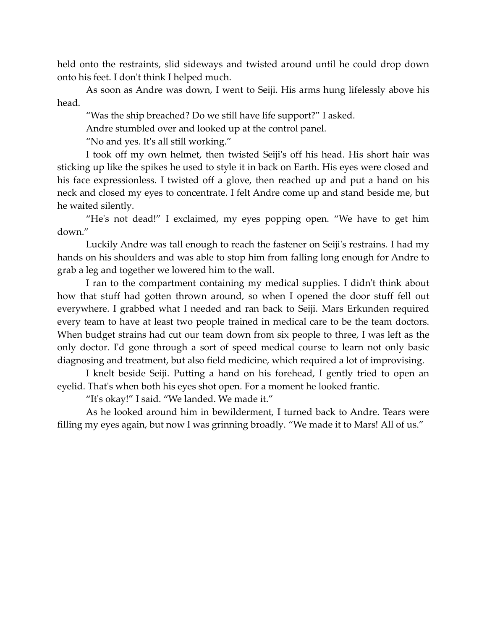held onto the restraints, slid sideways and twisted around until he could drop down onto his feet. I don't think I helped much.

As soon as Andre was down, I went to Seiji. His arms hung lifelessly above his head.

"Was the ship breached? Do we still have life support?" I asked.

Andre stumbled over and looked up at the control panel.

"No and yes. It's all still working."

I took off my own helmet, then twisted Seiji's off his head. His short hair was sticking up like the spikes he used to style it in back on Earth. His eyes were closed and his face expressionless. I twisted off a glove, then reached up and put a hand on his neck and closed my eyes to concentrate. I felt Andre come up and stand beside me, but he waited silently.

"He's not dead!" I exclaimed, my eyes popping open. "We have to get him down."

Luckily Andre was tall enough to reach the fastener on Seiji's restrains. I had my hands on his shoulders and was able to stop him from falling long enough for Andre to grab a leg and together we lowered him to the wall.

I ran to the compartment containing my medical supplies. I didn't think about how that stuff had gotten thrown around, so when I opened the door stuff fell out everywhere. I grabbed what I needed and ran back to Seiji. Mars Erkunden required every team to have at least two people trained in medical care to be the team doctors. When budget strains had cut our team down from six people to three, I was left as the only doctor. I'd gone through a sort of speed medical course to learn not only basic diagnosing and treatment, but also field medicine, which required a lot of improvising.

I knelt beside Seiji. Putting a hand on his forehead, I gently tried to open an eyelid. That's when both his eyes shot open. For a moment he looked frantic.

"It's okay!" I said. "We landed. We made it."

As he looked around him in bewilderment, I turned back to Andre. Tears were filling my eyes again, but now I was grinning broadly. "We made it to Mars! All of us."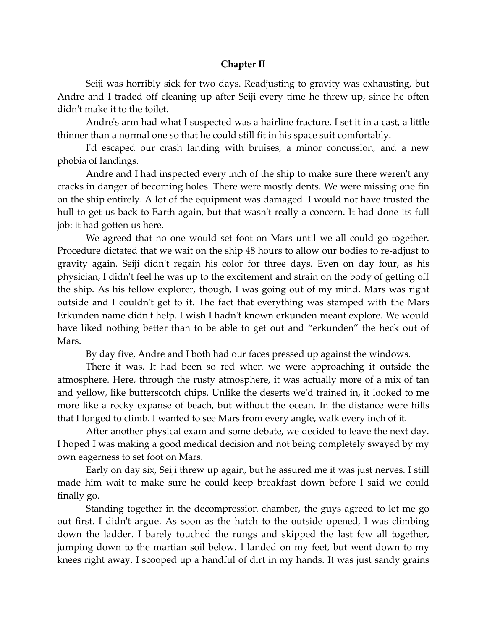### **Chapter II**

Seiji was horribly sick for two days. Readjusting to gravity was exhausting, but Andre and I traded off cleaning up after Seiji every time he threw up, since he often didn't make it to the toilet.

Andre's arm had what I suspected was a hairline fracture. I set it in a cast, a little thinner than a normal one so that he could still fit in his space suit comfortably.

I'd escaped our crash landing with bruises, a minor concussion, and a new phobia of landings.

Andre and I had inspected every inch of the ship to make sure there weren't any cracks in danger of becoming holes. There were mostly dents. We were missing one fin on the ship entirely. A lot of the equipment was damaged. I would not have trusted the hull to get us back to Earth again, but that wasn't really a concern. It had done its full job: it had gotten us here.

We agreed that no one would set foot on Mars until we all could go together. Procedure dictated that we wait on the ship 48 hours to allow our bodies to re-adjust to gravity again. Seiji didn't regain his color for three days. Even on day four, as his physician, I didn't feel he was up to the excitement and strain on the body of getting off the ship. As his fellow explorer, though, I was going out of my mind. Mars was right outside and I couldn't get to it. The fact that everything was stamped with the Mars Erkunden name didn't help. I wish I hadn't known erkunden meant explore. We would have liked nothing better than to be able to get out and "erkunden" the heck out of Mars.

By day five, Andre and I both had our faces pressed up against the windows.

There it was. It had been so red when we were approaching it outside the atmosphere. Here, through the rusty atmosphere, it was actually more of a mix of tan and yellow, like butterscotch chips. Unlike the deserts we'd trained in, it looked to me more like a rocky expanse of beach, but without the ocean. In the distance were hills that I longed to climb. I wanted to see Mars from every angle, walk every inch of it.

After another physical exam and some debate, we decided to leave the next day. I hoped I was making a good medical decision and not being completely swayed by my own eagerness to set foot on Mars.

Early on day six, Seiji threw up again, but he assured me it was just nerves. I still made him wait to make sure he could keep breakfast down before I said we could finally go.

Standing together in the decompression chamber, the guys agreed to let me go out first. I didn't argue. As soon as the hatch to the outside opened, I was climbing down the ladder. I barely touched the rungs and skipped the last few all together, jumping down to the martian soil below. I landed on my feet, but went down to my knees right away. I scooped up a handful of dirt in my hands. It was just sandy grains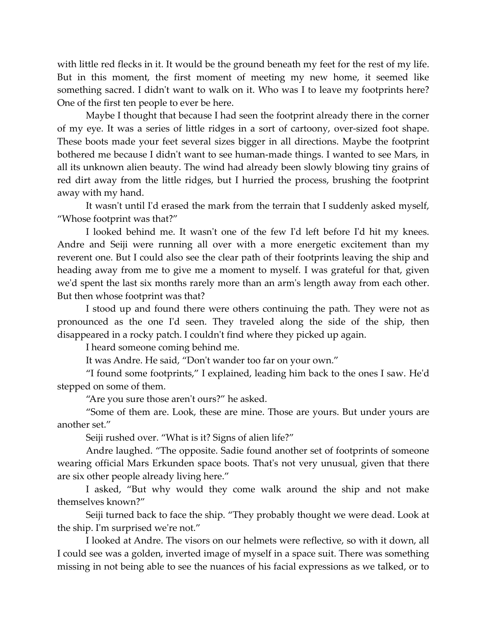with little red flecks in it. It would be the ground beneath my feet for the rest of my life. But in this moment, the first moment of meeting my new home, it seemed like something sacred. I didn't want to walk on it. Who was I to leave my footprints here? One of the first ten people to ever be here.

Maybe I thought that because I had seen the footprint already there in the corner of my eye. It was a series of little ridges in a sort of cartoony, over-sized foot shape. These boots made your feet several sizes bigger in all directions. Maybe the footprint bothered me because I didn't want to see human-made things. I wanted to see Mars, in all its unknown alien beauty. The wind had already been slowly blowing tiny grains of red dirt away from the little ridges, but I hurried the process, brushing the footprint away with my hand.

It wasn't until I'd erased the mark from the terrain that I suddenly asked myself, "Whose footprint was that?"

I looked behind me. It wasn't one of the few I'd left before I'd hit my knees. Andre and Seiji were running all over with a more energetic excitement than my reverent one. But I could also see the clear path of their footprints leaving the ship and heading away from me to give me a moment to myself. I was grateful for that, given we'd spent the last six months rarely more than an arm's length away from each other. But then whose footprint was that?

I stood up and found there were others continuing the path. They were not as pronounced as the one I'd seen. They traveled along the side of the ship, then disappeared in a rocky patch. I couldn't find where they picked up again.

I heard someone coming behind me.

It was Andre. He said, "Don't wander too far on your own."

"I found some footprints," I explained, leading him back to the ones I saw. He'd stepped on some of them.

"Are you sure those aren't ours?" he asked.

"Some of them are. Look, these are mine. Those are yours. But under yours are another set."

Seiji rushed over. "What is it? Signs of alien life?"

Andre laughed. "The opposite. Sadie found another set of footprints of someone wearing official Mars Erkunden space boots. That's not very unusual, given that there are six other people already living here."

I asked, "But why would they come walk around the ship and not make themselves known?"

Seiji turned back to face the ship. "They probably thought we were dead. Look at the ship. I'm surprised we're not."

I looked at Andre. The visors on our helmets were reflective, so with it down, all I could see was a golden, inverted image of myself in a space suit. There was something missing in not being able to see the nuances of his facial expressions as we talked, or to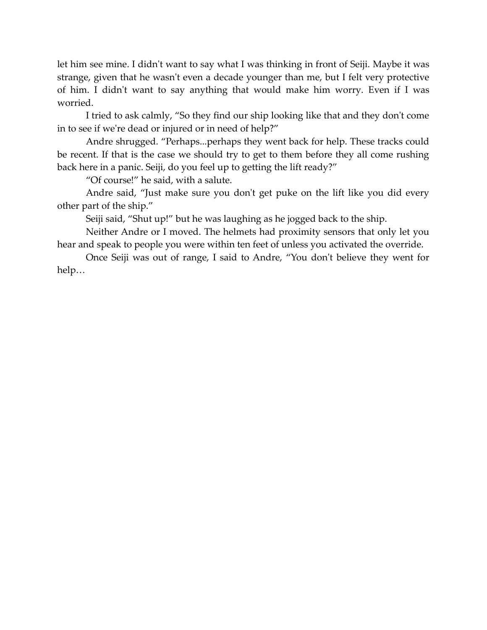let him see mine. I didn't want to say what I was thinking in front of Seiji. Maybe it was strange, given that he wasn't even a decade younger than me, but I felt very protective of him. I didn't want to say anything that would make him worry. Even if I was worried.

I tried to ask calmly, "So they find our ship looking like that and they don't come in to see if we're dead or injured or in need of help?"

Andre shrugged. "Perhaps...perhaps they went back for help. These tracks could be recent. If that is the case we should try to get to them before they all come rushing back here in a panic. Seiji, do you feel up to getting the lift ready?"

"Of course!" he said, with a salute.

Andre said, "Just make sure you don't get puke on the lift like you did every other part of the ship."

Seiji said, "Shut up!" but he was laughing as he jogged back to the ship.

Neither Andre or I moved. The helmets had proximity sensors that only let you hear and speak to people you were within ten feet of unless you activated the override.

Once Seiji was out of range, I said to Andre, "You don't believe they went for help…